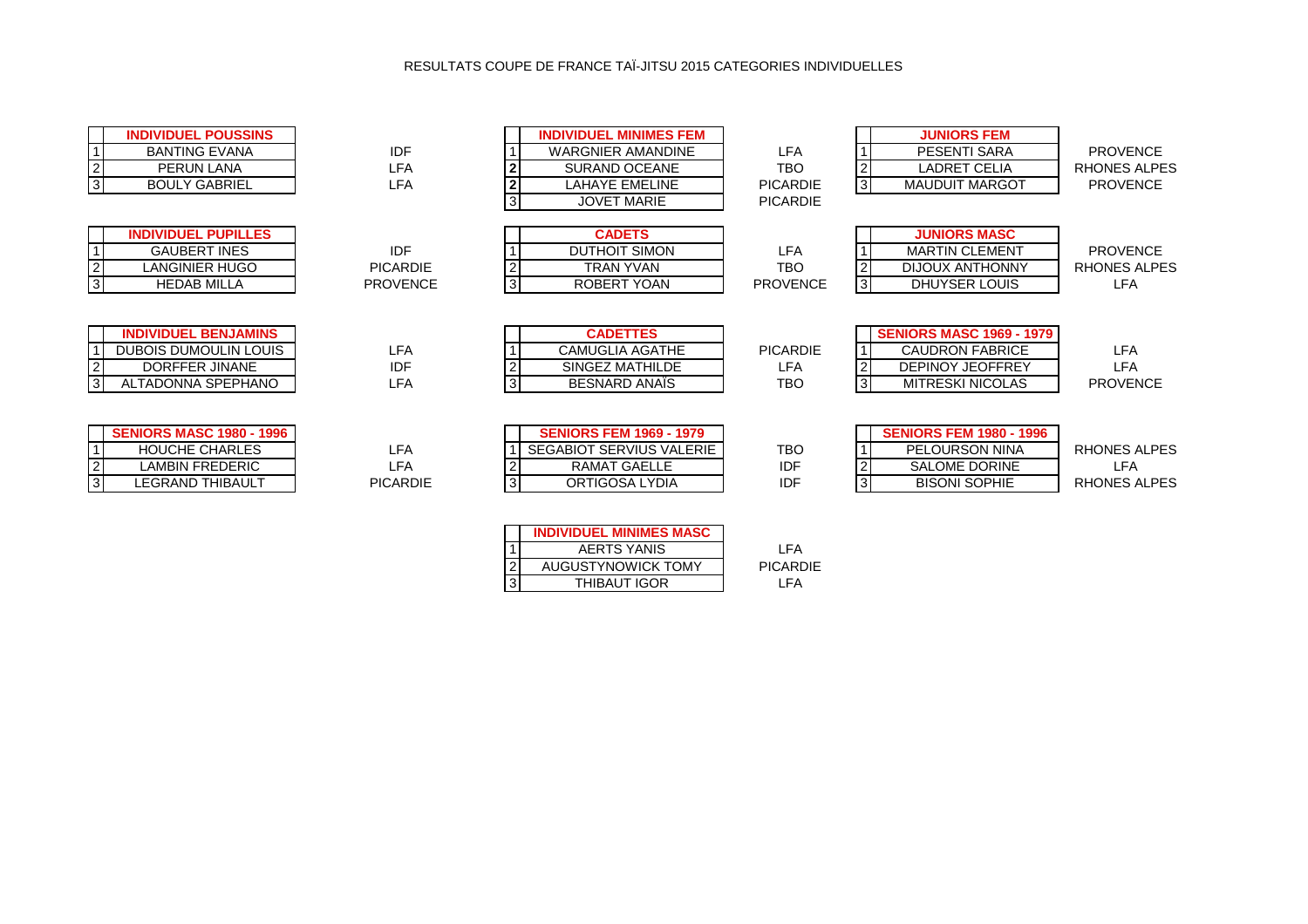## RESULTATS COUPE DE FRANCE TAÏ-JITSU 2015 CATEGORIES INDIVIDUELLES

| <b>INDIVIDUEL POUSSINS</b><br><b>BANTING EVANA</b><br>PERUN LANA<br><b>BOULY GABRIEL</b>               | IDF<br><b>LFA</b><br><b>LFA</b>                  | $\overline{3}$      | <b>INDIVIDUEL MINIMES FEM</b><br><b>WARGNIER AMANDINE</b><br><b>SURAND OCEANE</b><br><b>LAHAYE EMELINE</b><br><b>JOVET MARIE</b>                                                                                                  | <b>LFA</b><br><b>TBO</b><br><b>PICARDIE</b><br><b>PICARDIE</b> | 2<br>$\overline{3}$            | <b>JUNIORS FEM</b><br>PESENTI SARA<br><b>LADRET CELIA</b><br><b>MAUDUIT MARGOT</b>                              | <b>PROVENCE</b><br>RHONES ALPES<br><b>PROVENCE</b> |
|--------------------------------------------------------------------------------------------------------|--------------------------------------------------|---------------------|-----------------------------------------------------------------------------------------------------------------------------------------------------------------------------------------------------------------------------------|----------------------------------------------------------------|--------------------------------|-----------------------------------------------------------------------------------------------------------------|----------------------------------------------------|
| <b>INDIVIDUEL PUPILLES</b><br><b>GAUBERT INES</b><br><b>LANGINIER HUGO</b><br><b>HEDAB MILLA</b>       | <b>IDF</b><br><b>PICARDIE</b><br><b>PROVENCE</b> | $\overline{2}$<br>3 | <b>CADETS</b><br><b>DUTHOIT SIMON</b><br><b>TRAN YVAN</b><br>ROBERT YOAN                                                                                                                                                          | <b>LFA</b><br>TBO<br><b>PROVENCE</b>                           | 2<br>$\mathbf{3}$              | <b>JUNIORS MASC</b><br><b>MARTIN CLEMENT</b><br><b>DIJOUX ANTHONNY</b><br>DHUYSER LOUIS                         | <b>PROVENCE</b><br>RHONES ALPES<br>LFA             |
| <b>INDIVIDUEL BENJAMINS</b><br>DUBOIS DUMOULIN LOUIS<br>DORFFER JINANE<br>ALTADONNA SPEPHANO           | <b>LFA</b><br>IDF<br><b>LFA</b>                  |                     | <b>CADETTES</b><br><b>CAMUGLIA AGATHE</b><br>SINGEZ MATHILDE<br>BESNARD ANAIS                                                                                                                                                     | <b>PICARDIE</b><br>LFA<br><b>TBO</b>                           | $\mathbf{2}$<br>$\overline{3}$ | <b>SENIORS MASC 1969 - 1979</b><br><b>CAUDRON FABRICE</b><br><b>DEPINOY JEOFFREY</b><br><b>MITRESKI NICOLAS</b> | <b>LFA</b><br><b>LFA</b><br><b>PROVENCE</b>        |
| <b>SENIORS MASC 1980 - 1996</b><br><b>HOUCHE CHARLES</b><br>LAMBIN FREDERIC<br><b>LEGRAND THIBAULT</b> | <b>LFA</b><br><b>LFA</b><br><b>PICARDIE</b>      | $\overline{3}$      | <b>SENIORS FEM 1969 - 1979</b><br><b>SEGABIOT SERVIUS VALERIE</b><br><b>RAMAT GAELLE</b><br>ORTIGOSA LYDIA                                                                                                                        | <b>TBO</b><br><b>IDF</b><br><b>IDF</b>                         | $\overline{3}$                 | <b>SENIORS FEM 1980 - 1996</b><br><b>PELOURSON NINA</b><br><b>SALOME DORINE</b><br><b>BISONI SOPHIE</b>         | RHONES ALPES<br>LFA<br>RHONES ALPES                |
|                                                                                                        |                                                  |                     | $\frac{1}{2}$ BENDER CONTROLLED AND CONTROL IN A CONTROL IN A CONTROL IN A CONTROL IN A CONTROL IN A CONTROL IN A CONTROL IN A CONTROL IN A CONTROL IN A CONTROL IN A CONTROL IN A CONTROL IN A CONTROL IN A CONTROL IN A CONTROL |                                                                |                                |                                                                                                                 |                                                    |

|                | <b>INDIVIDUEL MINIMES MASC</b> |                 |
|----------------|--------------------------------|-----------------|
|                | <b>AERTS YANIS</b>             | I FA            |
| $\overline{2}$ | AUGUSTYNOWICK TOMY             | <b>PICARDIE</b> |
| 13             | <b>THIBAUT IGOR</b>            | I FA            |